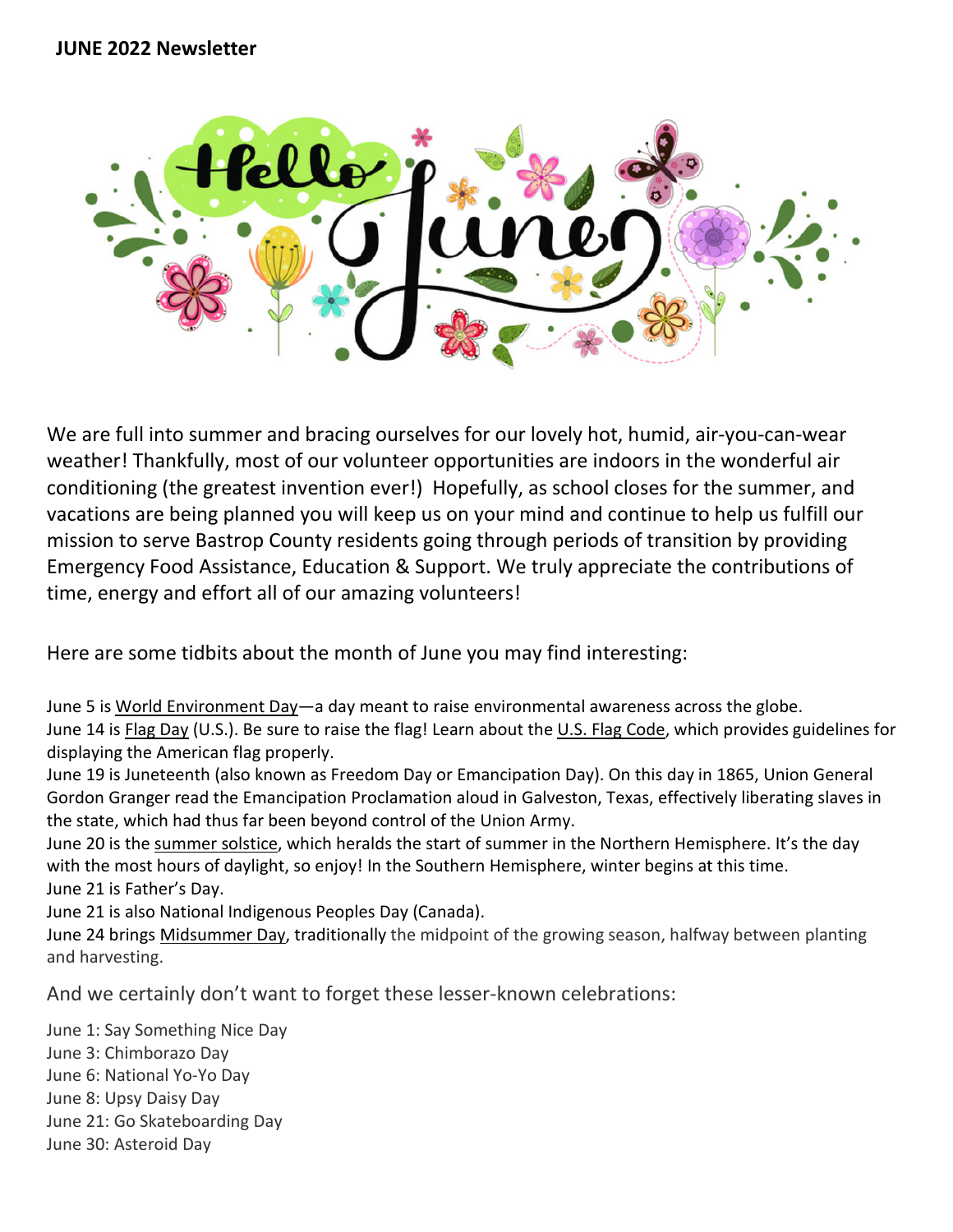

We are full into summer and bracing ourselves for our lovely hot, humid, air-you-can-wear weather! Thankfully, most of our volunteer opportunities are indoors in the wonderful air conditioning (the greatest invention ever!) Hopefully, as school closes for the summer, and vacations are being planned you will keep us on your mind and continue to help us fulfill our mission to serve Bastrop County residents going through periods of transition by providing Emergency Food Assistance, Education & Support. We truly appreciate the contributions of time, energy and effort all of our amazing volunteers!

Here are some tidbits about the month of June you may find interesting:

June 5 is [World Environment Day—](https://www.almanac.com/calendar/date/2020-06-05)a day meant to raise environmental awareness across the globe. June 14 is [Flag Day](https://www.almanac.com/content/flag-day-celebration-american-flag) (U.S.). Be sure to raise the flag! Learn about the U.S. [Flag Code,](https://www.almanac.com/content/us-flag-etiquette-rules-and-guidelines) which provides guidelines for displaying the American flag properly.

June 19 is Juneteenth (also known as Freedom Day or Emancipation Day). On this day in 1865, Union General Gordon Granger read the Emancipation Proclamation aloud in Galveston, Texas, effectively liberating slaves in the state, which had thus far been beyond control of the Union Army.

June 20 is the [summer solstice,](https://www.almanac.com/content/first-day-summer-summer-solstice) which heralds the start of summer in the Northern Hemisphere. It's the day with the most hours of daylight, so enjoy! In the Southern Hemisphere, winter begins at this time. June 21 is Father's Day.

June 21 is also National Indigenous Peoples Day (Canada).

June 24 brings [Midsummer Day,](https://www.almanac.com/calendar/date/2020-06-24) traditionally the midpoint of the growing season, halfway between planting and harvesting.

And we certainly don't want to forget these lesser-known celebrations:

June 1: Say Something Nice Day June 3: Chimborazo Day June 6: National Yo-Yo Day June 8: Upsy Daisy Day June 21: Go Skateboarding Day June 30: Asteroid Day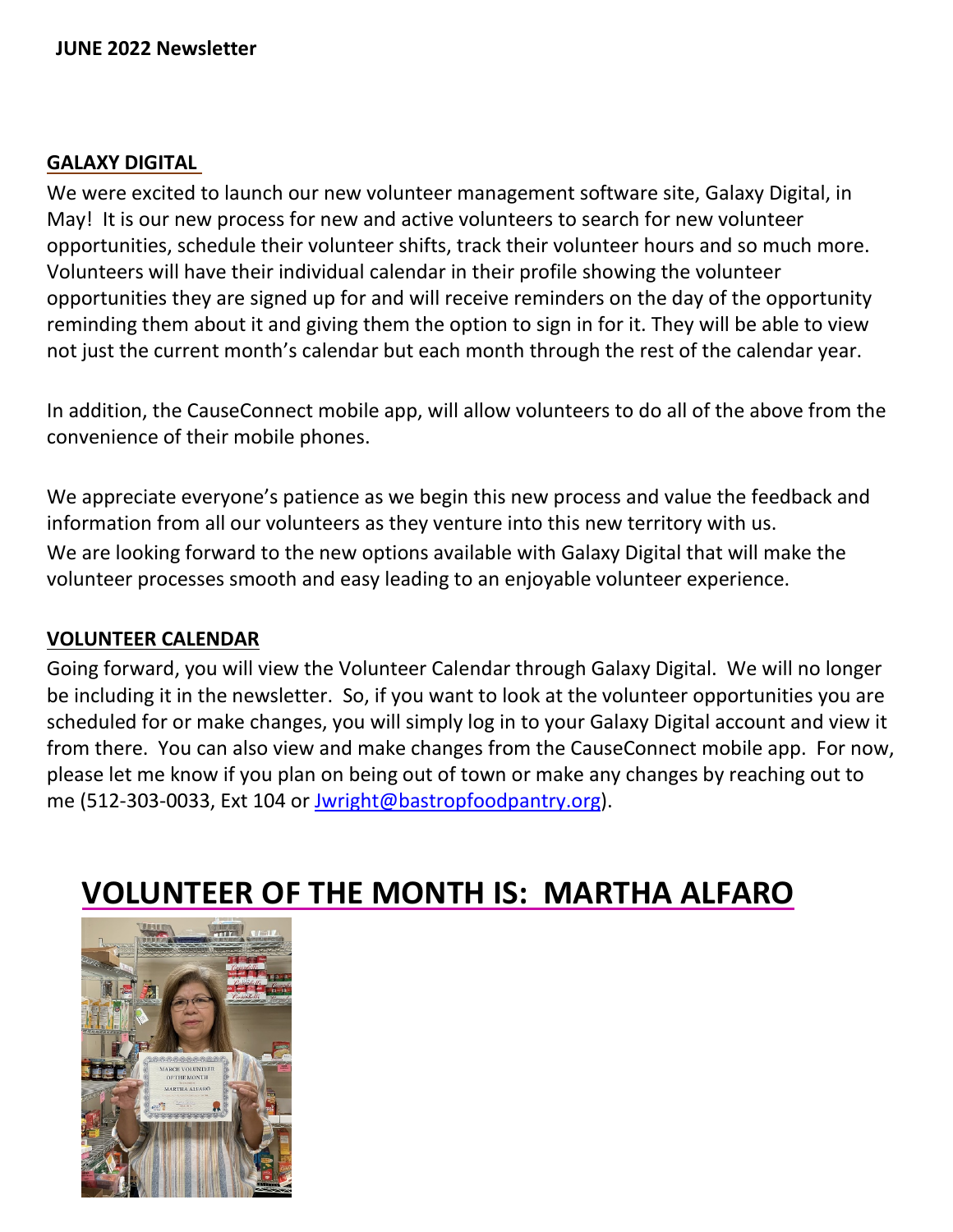#### **GALAXY DIGITAL**

We were excited to launch our new volunteer management software site, Galaxy Digital, in May! It is our new process for new and active volunteers to search for new volunteer opportunities, schedule their volunteer shifts, track their volunteer hours and so much more. Volunteers will have their individual calendar in their profile showing the volunteer opportunities they are signed up for and will receive reminders on the day of the opportunity reminding them about it and giving them the option to sign in for it. They will be able to view not just the current month's calendar but each month through the rest of the calendar year.

In addition, the CauseConnect mobile app, will allow volunteers to do all of the above from the convenience of their mobile phones.

We appreciate everyone's patience as we begin this new process and value the feedback and information from all our volunteers as they venture into this new territory with us. We are looking forward to the new options available with Galaxy Digital that will make the volunteer processes smooth and easy leading to an enjoyable volunteer experience.

#### **VOLUNTEER CALENDAR**

Going forward, you will view the Volunteer Calendar through Galaxy Digital. We will no longer be including it in the newsletter. So, if you want to look at the volunteer opportunities you are scheduled for or make changes, you will simply log in to your Galaxy Digital account and view it from there. You can also view and make changes from the CauseConnect mobile app. For now, please let me know if you plan on being out of town or make any changes by reaching out to me (512-303-0033, Ext 104 or [Jwright@bastropfoodpantry.org\)](mailto:Jwright@bastropfoodpantry.org).

# **VOLUNTEER OF THE MONTH IS: MARTHA ALFARO**

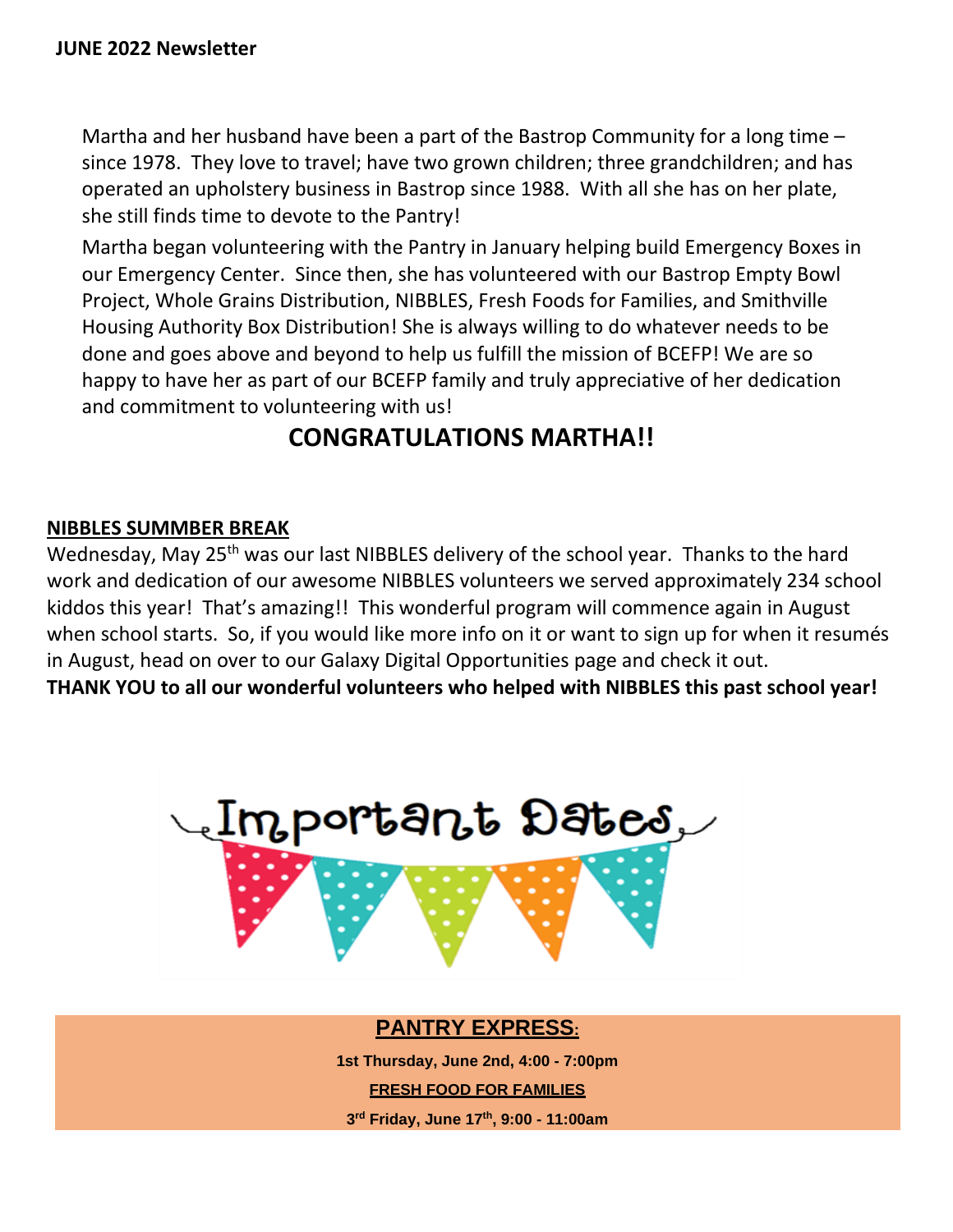Martha and her husband have been a part of the Bastrop Community for a long time – since 1978. They love to travel; have two grown children; three grandchildren; and has operated an upholstery business in Bastrop since 1988. With all she has on her plate, she still finds time to devote to the Pantry!

Martha began volunteering with the Pantry in January helping build Emergency Boxes in our Emergency Center. Since then, she has volunteered with our Bastrop Empty Bowl Project, Whole Grains Distribution, NIBBLES, Fresh Foods for Families, and Smithville Housing Authority Box Distribution! She is always willing to do whatever needs to be done and goes above and beyond to help us fulfill the mission of BCEFP! We are so happy to have her as part of our BCEFP family and truly appreciative of her dedication and commitment to volunteering with us!

## **CONGRATULATIONS MARTHA!!**

### **NIBBLES SUMMBER BREAK**

Wednesday, May 25<sup>th</sup> was our last NIBBLES delivery of the school year. Thanks to the hard work and dedication of our awesome NIBBLES volunteers we served approximately 234 school kiddos this year! That's amazing!! This wonderful program will commence again in August when school starts. So, if you would like more info on it or want to sign up for when it resumés in August, head on over to our Galaxy Digital Opportunities page and check it out. **THANK YOU to all our wonderful volunteers who helped with NIBBLES this past school year!** 



## **PANTRY EXPRESS:**

**1st Thursday, June 2nd, 4:00 - 7:00pm** 

**FRESH FOOD FOR FAMILIES**

**3rd Friday, June 17th, 9:00 - 11:00am**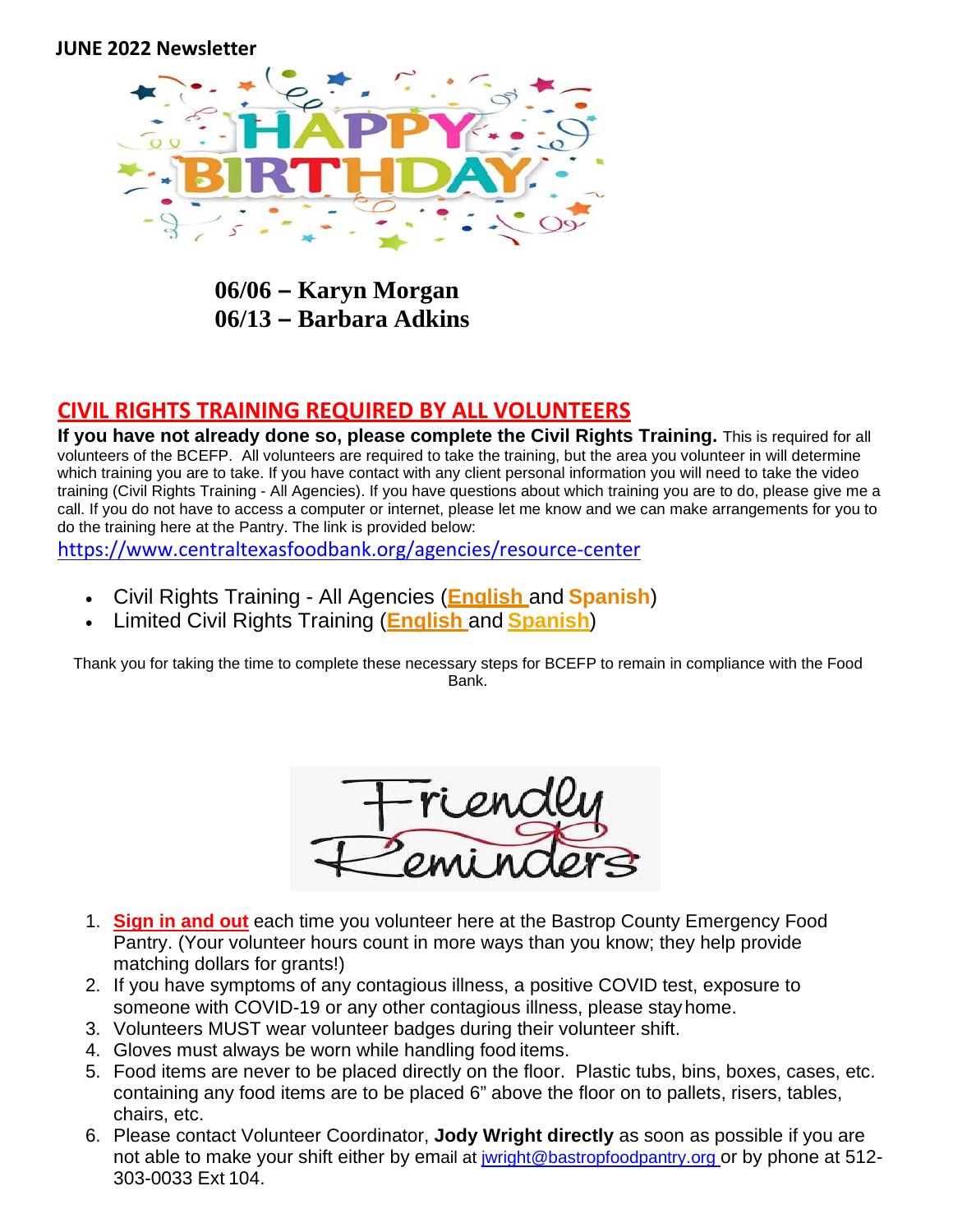

**06/06 – Karyn Morgan 06/13 – Barbara Adkins**

#### **CIVIL RIGHTS TRAINING REQUIRED BY ALL VOLUNTEERS**

**If you have not already done so, please complete the Civil Rights Training.** This is required for all volunteers of the BCEFP. All volunteers are required to take the training, but the area you volunteer in will determine which training you are to take. If you have contact with any client personal information you will need to take the video training (Civil Rights Training - All Agencies). If you have questions about which training you are to do, please give me a call. If you do not have to access a computer or internet, please let me know and we can make arrangements for you to do the training here at the Pantry. The link is provided below:

<https://www.centraltexasfoodbank.org/agencies/resource-center>

- Civil Rights Training All Agencies (**[English](https://tdafn.s3.amazonaws.com/Articulate/AnnualCivilRightsTrainingforCEs/story.html)** and **[Spanish](https://tdafn.s3.amazonaws.com/Articulate/AnnualSpCivilRightsTrainingforCEs/story.html)**)
- Limited Civil Rights Training (**[English](https://www.centraltexasfoodbank.org/doc/pdf/limited-civil-rights-training-eng)** and **[Spanish](https://www.centraltexasfoodbank.org/doc/pdf/limited-civil-rights-training-esp)**)

Thank you for taking the time to complete these necessary steps for BCEFP to remain in compliance with the Food Bank.



- 1. **Sign in and out** each time you volunteer here at the Bastrop County Emergency Food Pantry. (Your volunteer hours count in more ways than you know; they help provide matching dollars for grants!)
- 2. If you have symptoms of any contagious illness, a positive COVID test, exposure to someone with COVID-19 or any other contagious illness, please stay home.
- 3. Volunteers MUST wear volunteer badges during their volunteer shift.
- 4. Gloves must always be worn while handling food items.
- 5. Food items are never to be placed directly on the floor. Plastic tubs, bins, boxes, cases, etc. containing any food items are to be placed 6" above the floor on to pallets, risers, tables, chairs, etc.
- 6. Please contact Volunteer Coordinator, **Jody Wright directly** as soon as possible if you are not able to make your shift either by email at *iwright@bastropfoodpantry.org* or by phone at 512-303-0033 Ext 104.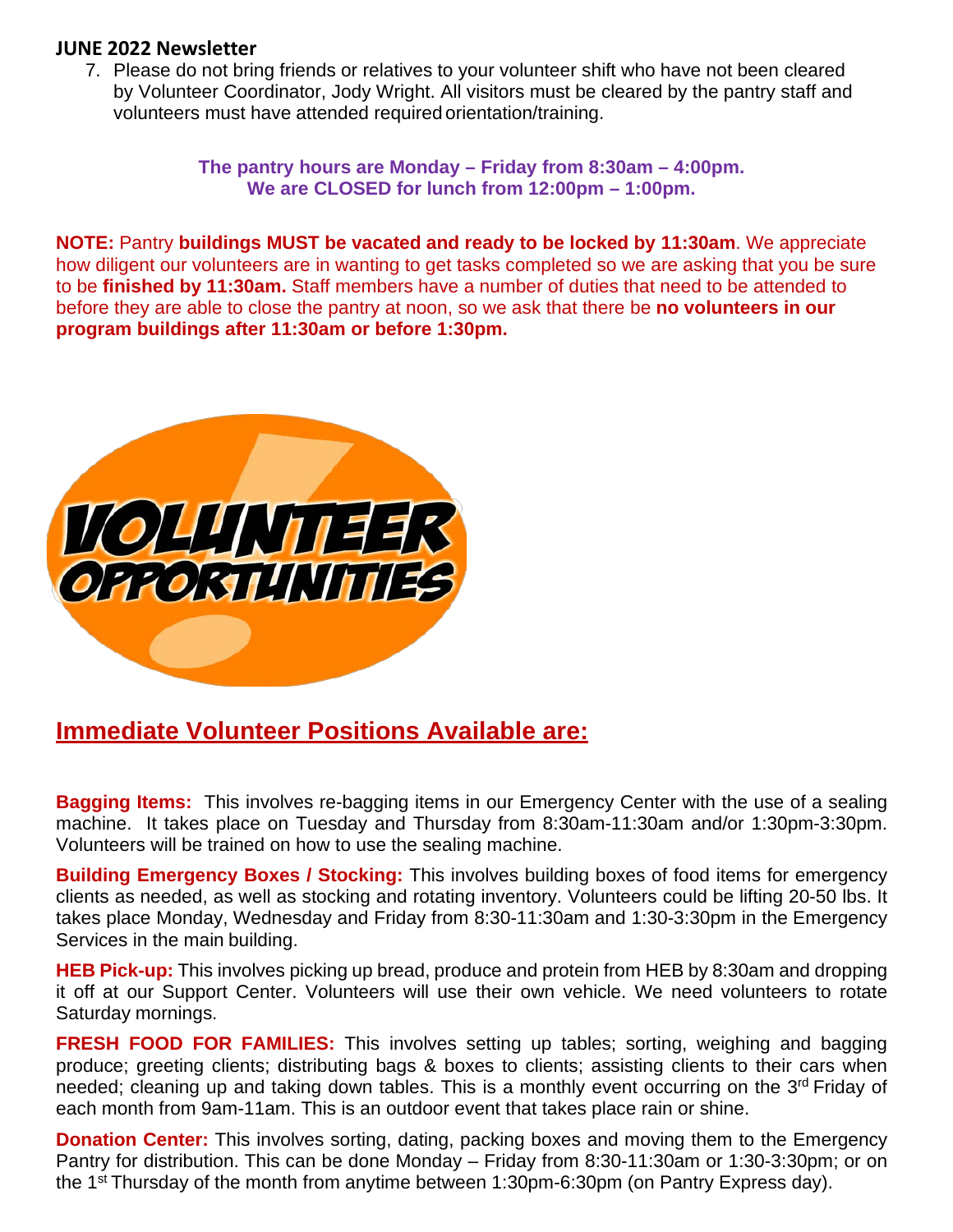7. Please do not bring friends or relatives to your volunteer shift who have not been cleared by Volunteer Coordinator, Jody Wright. All visitors must be cleared by the pantry staff and volunteers must have attended required orientation/training.

> **The pantry hours are Monday – Friday from 8:30am – 4:00pm. We are CLOSED for lunch from 12:00pm – 1:00pm.**

**NOTE:** Pantry **buildings MUST be vacated and ready to be locked by 11:30am**. We appreciate how diligent our volunteers are in wanting to get tasks completed so we are asking that you be sure to be **finished by 11:30am.** Staff members have a number of duties that need to be attended to before they are able to close the pantry at noon, so we ask that there be **no volunteers in our program buildings after 11:30am or before 1:30pm.**



## **Immediate Volunteer Positions Available are:**

**Bagging Items:** This involves re-bagging items in our Emergency Center with the use of a sealing machine. It takes place on Tuesday and Thursday from 8:30am-11:30am and/or 1:30pm-3:30pm. Volunteers will be trained on how to use the sealing machine.

**Building Emergency Boxes / Stocking:** This involves building boxes of food items for emergency clients as needed, as well as stocking and rotating inventory. Volunteers could be lifting 20-50 lbs. It takes place Monday, Wednesday and Friday from 8:30-11:30am and 1:30-3:30pm in the Emergency Services in the main building.

**HEB Pick-up:** This involves picking up bread, produce and protein from HEB by 8:30am and dropping it off at our Support Center. Volunteers will use their own vehicle. We need volunteers to rotate Saturday mornings.

**FRESH FOOD FOR FAMILIES:** This involves setting up tables; sorting, weighing and bagging produce; greeting clients; distributing bags & boxes to clients; assisting clients to their cars when needed; cleaning up and taking down tables. This is a monthly event occurring on the 3<sup>rd</sup> Friday of each month from 9am-11am. This is an outdoor event that takes place rain or shine.

**Donation Center:** This involves sorting, dating, packing boxes and moving them to the Emergency Pantry for distribution. This can be done Monday – Friday from 8:30-11:30am or 1:30-3:30pm; or on the 1st Thursday of the month from anytime between 1:30pm-6:30pm (on Pantry Express day).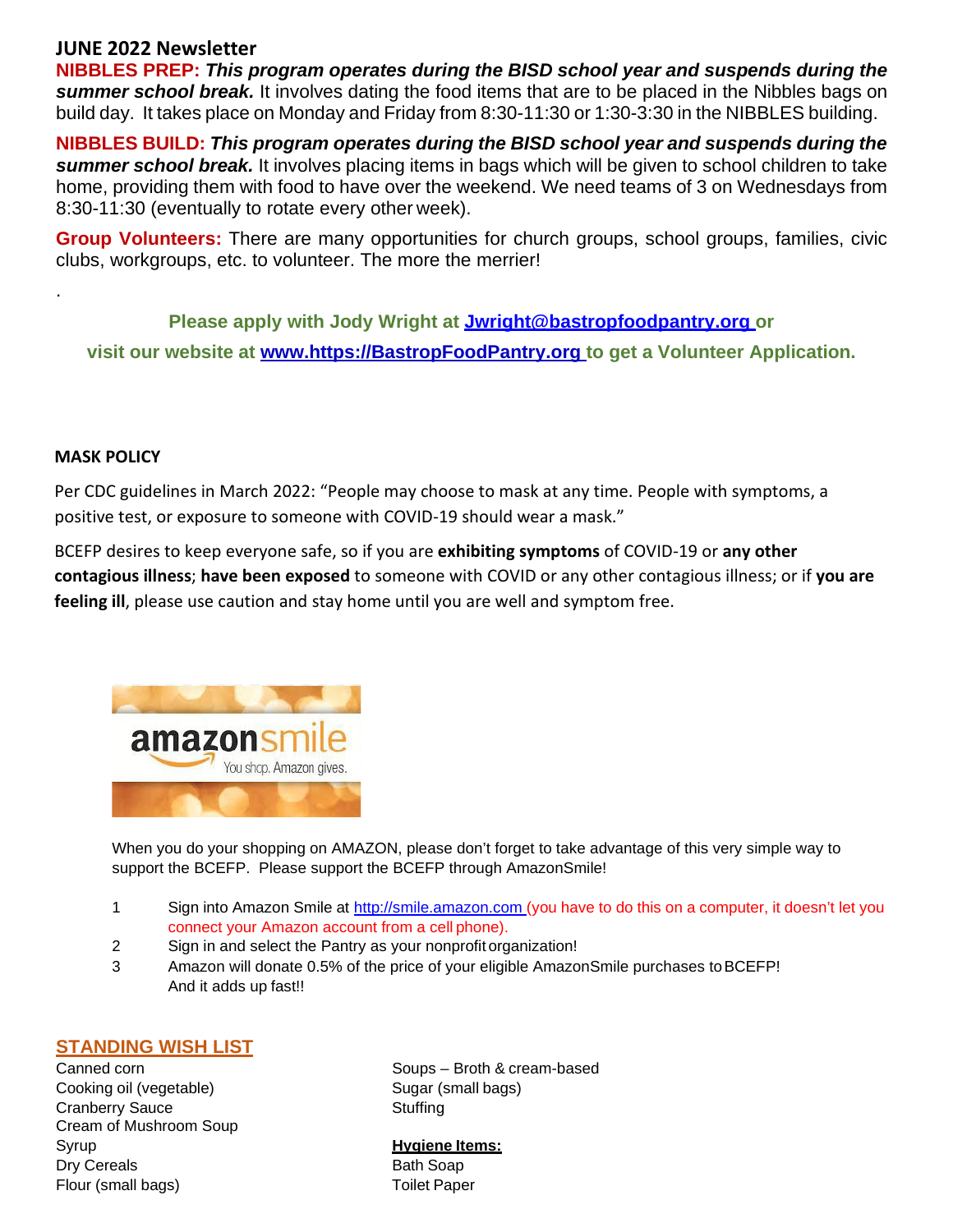**NIBBLES PREP:** *This program operates during the BISD school year and suspends during the summer school break.* It involves dating the food items that are to be placed in the Nibbles bags on build day. It takes place on Monday and Friday from 8:30-11:30 or 1:30-3:30 in the NIBBLES building.

**NIBBLES BUILD:** *This program operates during the BISD school year and suspends during the summer school break.* It involves placing items in bags which will be given to school children to take home, providing them with food to have over the weekend. We need teams of 3 on Wednesdays from 8:30-11:30 (eventually to rotate every other week).

**Group Volunteers:** There are many opportunities for church groups, school groups, families, civic clubs, workgroups, etc. to volunteer. The more the merrier!

**Please apply with Jody Wright at [Jwright@bastropfoodpantry.org o](mailto:Jwright@bastropfoodpantry.org)r visit our website at www.https://BastropFoodPantry.org to get a Volunteer Application.**

#### **MASK POLICY**

.

Per CDC guidelines in March 2022: "People may choose to mask at any time. People with symptoms, a positive test, or exposure to someone with COVID-19 should wear a mask."

BCEFP desires to keep everyone safe, so if you are **exhibiting symptoms** of COVID-19 or **any other contagious illness**; **have been exposed** to someone with COVID or any other contagious illness; or if **you are feeling ill**, please use caution and stay home until you are well and symptom free.



When you do your shopping on AMAZON, please don't forget to take advantage of this very simple way to support the BCEFP. Please support the BCEFP through AmazonSmile!

- 1 Sign into Amazon Smile at [http://smile.amazon.com](http://smile.amazon.com/) (you have to do this on a computer, it doesn't let you connect your Amazon account from a cell phone).
- 2 Sign in and select the Pantry as your nonprofit organization!
- 3 Amazon will donate 0.5% of the price of your eligible AmazonSmile purchases toBCEFP! And it adds up fast!!

#### **STANDING WISH LIST**

Cooking oil (vegetable) Sugar (small bags) Cranberry Sauce Stuffing Cream of Mushroom Soup Syrup **Hygiene Items:** Dry Cereals **Bath Soap** Flour (small bags) Toilet Paper

Canned corn **Soups** – Broth & cream-based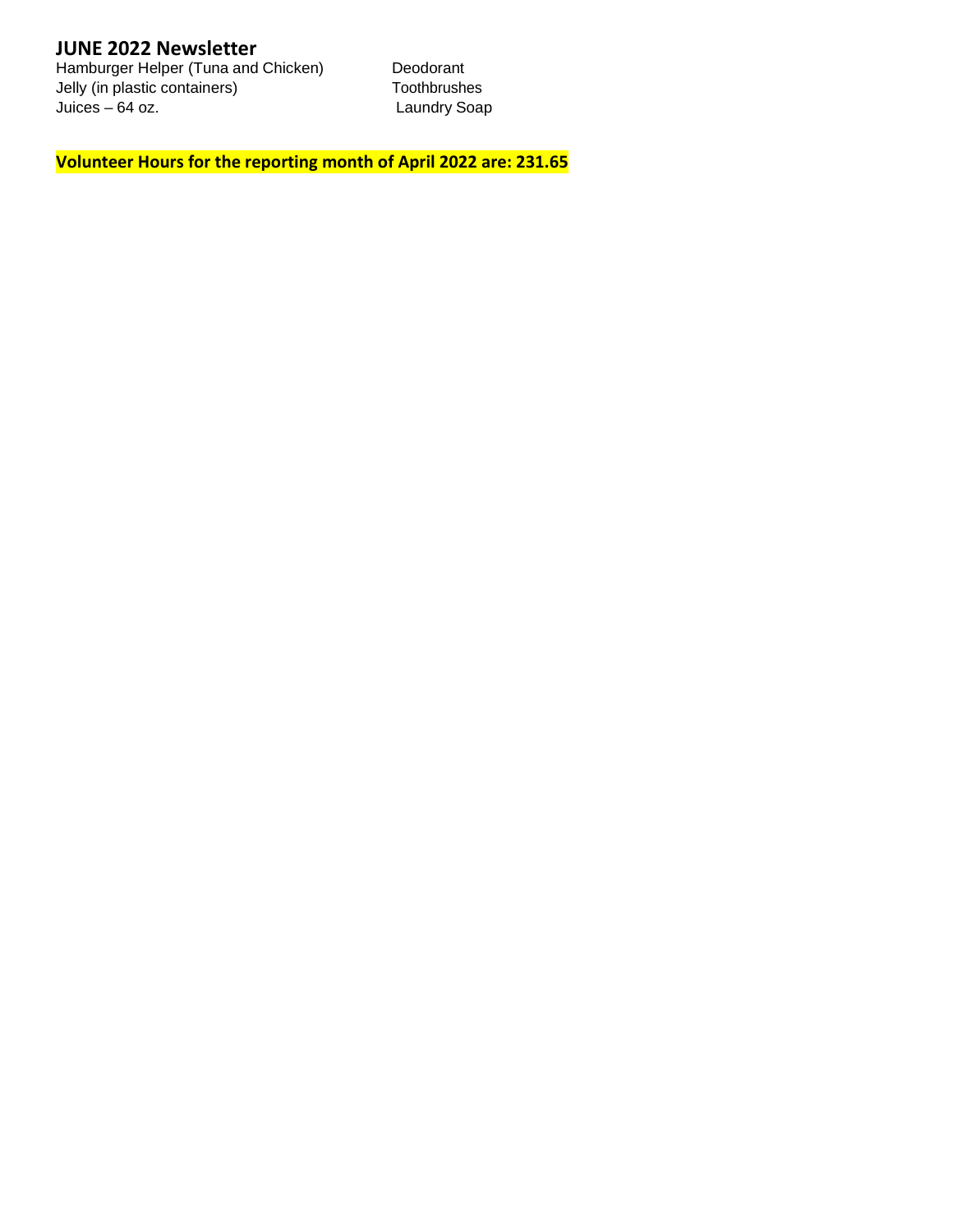Hamburger Helper (Tuna and Chicken) Deodorant<br>
Jelly (in plastic containers) Toothbrushes Jelly (in plastic containers)<br>Juices – 64 oz.

Laundry Soap

**Volunteer Hours for the reporting month of April 2022 are: 231.65**